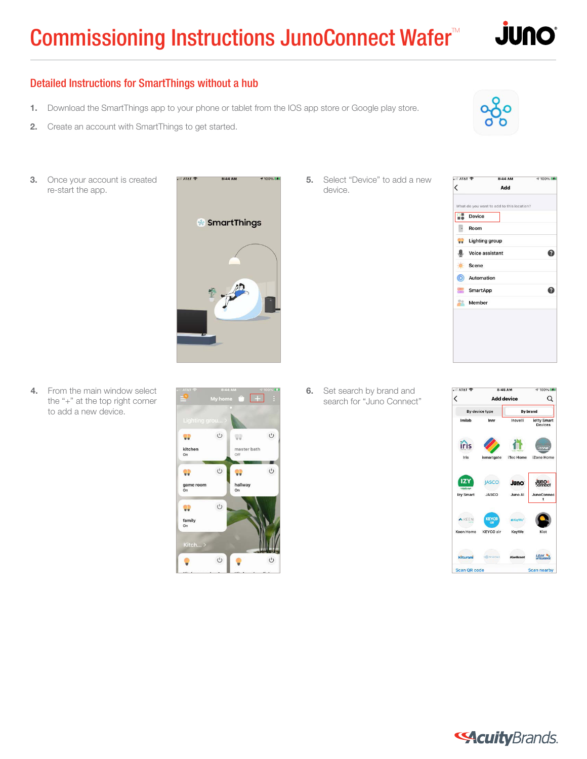

#### Detailed Instructions for SmartThings without a hub

- 1. Download the SmartThings app to your phone or tablet from the IOS app store or Google play store.
- 2. Create an account with SmartThings to get started.
- **3.** Once your account is created re-start the app.



**5.** Select "Device" to add a new device.



4. From the main window select the "+" at the top right corner to add a new device.



**6.** Set search by brand and search for "Juno Connect"



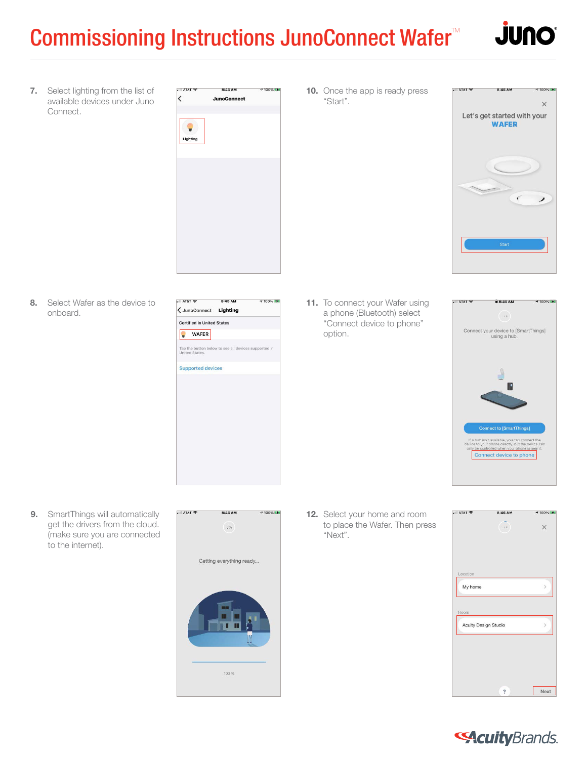## Commissioning Instructions JunoConnect Wafer $M$



 $9100\%$ 

7. Select lighting from the list of available devices under Juno Connect.

 $\cdot$  AT&T 8:45 AM **₹100%**  $\overline{\phantom{0}}$ **JunoConnect**  $\bullet$ Lighting

8. Select Wafer as the device to onboard.

| $-$ AT&T                                                               | 8:45 AM | → 100%(時間) |
|------------------------------------------------------------------------|---------|------------|
| < JunoConnect Lighting                                                 |         |            |
| <b>Certified in United States</b>                                      |         |            |
| <b>WAFER</b>                                                           |         |            |
| Tap the button below to see all devices supported in<br>United States. |         |            |
| <b>Supported devices</b>                                               |         |            |
|                                                                        |         |            |
|                                                                        |         |            |
|                                                                        |         |            |
|                                                                        |         |            |
|                                                                        |         |            |
|                                                                        |         |            |
|                                                                        |         |            |
|                                                                        |         |            |
|                                                                        |         |            |
|                                                                        |         |            |

11. To connect your Wafer using a phone (Bluetooth) select "Connect device to phone" option.



9. SmartThings will automatically get the drivers from the cloud. (make sure you are connected to the internet).



8:45 AM

₹100%

 $\cdot$  AT&T

12. Select your home and room to place the Wafer. Then press "Next".



#### **SAcuity** Brands.

**10.** Once the app is ready press "Start".



8:45 AM

AT&T 宁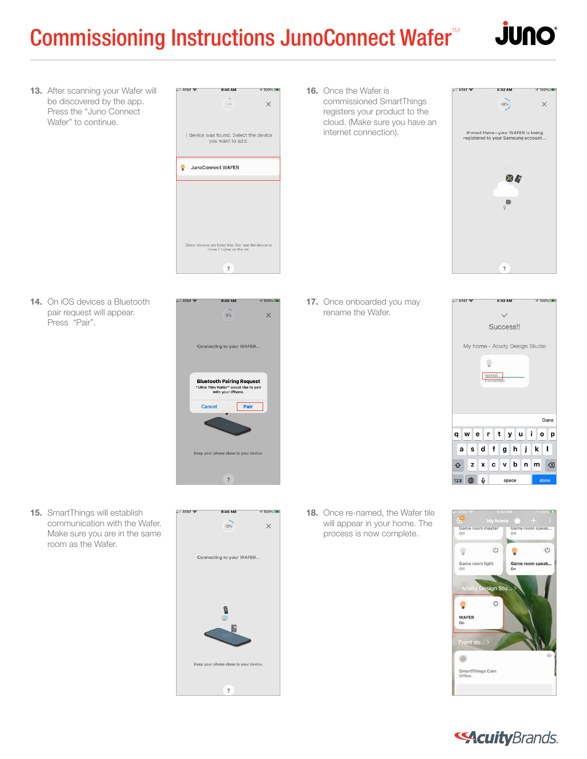## Commissioning Instructions JunoConnect Wafer<sup>™</sup>



13. After scanning your Wafer will be discovered by the app. Press the "Juno Connect Wafer" to continue.



16. Once the Wafer is commissioned SmartThings registers your product to the cloud. (Make sure you have an internet connection).



14. On iOS devices a Bluetooth pair request will appear. Press "Pair".



15. SmartThings will establish communication with the Wafer. Make sure you are in the same room as the Wafer.



17. Once onboarded you may rename the Wafer.



18. Once re-named, the Wafer tile will appear in your home. The process is now complete.



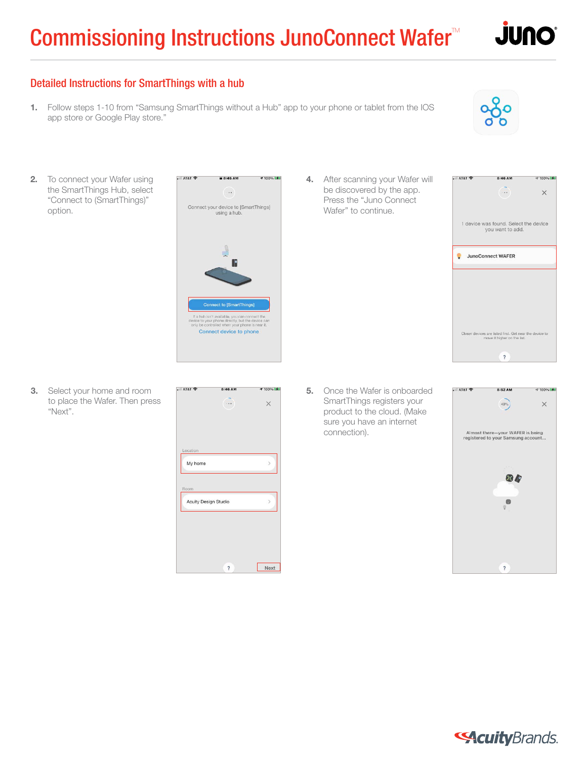# Commissioning Instructions JunoConnect Wafer<sup>™</sup>



#### Detailed Instructions for SmartThings with a hub

1. Follow steps 1-10 from "Samsung SmartThings without a Hub" app to your phone or tablet from the IOS app store or Google Play store."



2. To connect your Wafer using the SmartThings Hub, select "Connect to (SmartThings)" option.



**3.** Select your home and room to place the Wafer. Then press "Next".



4. After scanning your Wafer will be discovered by the app. Press the "Juno Connect Wafer" to continue.



**5.** Once the Wafer is onboarded SmartThings registers your product to the cloud. (Make sure you have an internet connection).